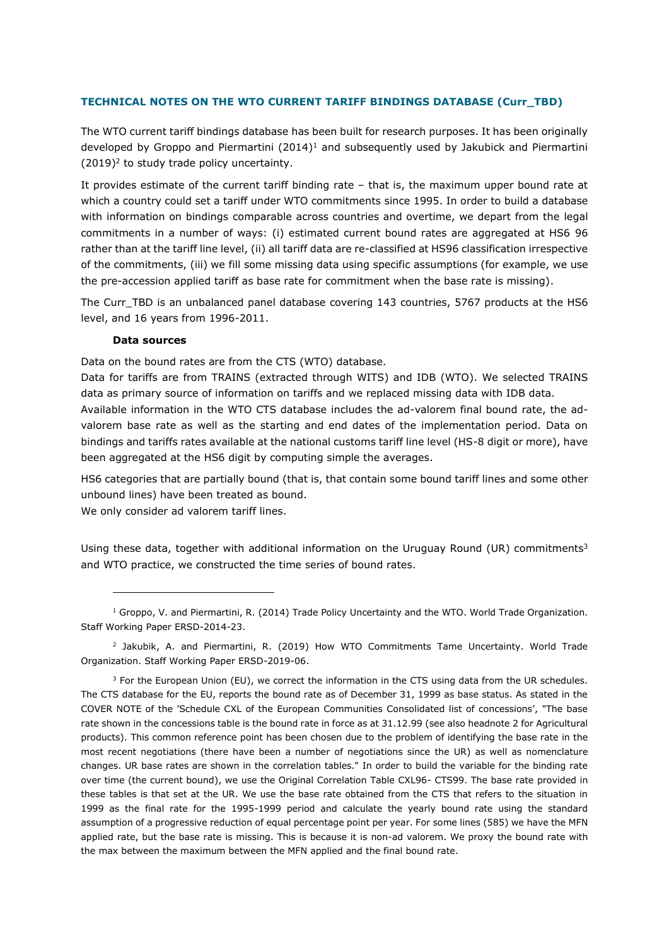## **TECHNICAL NOTES ON THE WTO CURRENT TARIFF BINDINGS DATABASE (Curr\_TBD)**

The WTO current tariff bindings database has been built for research purposes. It has been originally developed by Groppo and Piermartini (2014)<sup>1</sup> and subsequently used by Jakubick and Piermartini (2019) 2 to study trade policy uncertainty.

It provides estimate of the current tariff binding rate – that is, the maximum upper bound rate at which a country could set a tariff under WTO commitments since 1995. In order to build a database with information on bindings comparable across countries and overtime, we depart from the legal commitments in a number of ways: (i) estimated current bound rates are aggregated at HS6 96 rather than at the tariff line level, (ii) all tariff data are re-classified at HS96 classification irrespective of the commitments, (iii) we fill some missing data using specific assumptions (for example, we use the pre-accession applied tariff as base rate for commitment when the base rate is missing).

The Curr\_TBD is an unbalanced panel database covering 143 countries, 5767 products at the HS6 level, and 16 years from 1996-2011.

## **Data sources**

Data on the bound rates are from the CTS (WTO) database.

been aggregated at the HS6 digit by computing simple the averages.

Data for tariffs are from TRAINS (extracted through WITS) and IDB (WTO). We selected TRAINS data as primary source of information on tariffs and we replaced missing data with IDB data. Available information in the WTO CTS database includes the ad-valorem final bound rate, the advalorem base rate as well as the starting and end dates of the implementation period. Data on bindings and tariffs rates available at the national customs tariff line level (HS-8 digit or more), have

HS6 categories that are partially bound (that is, that contain some bound tariff lines and some other unbound lines) have been treated as bound.

We only consider ad valorem tariff lines.

Using these data, together with additional information on the Uruguay Round (UR) commitments<sup>3</sup> and WTO practice, we constructed the time series of bound rates.

2 Jakubik, A. and Piermartini, R. (2019) How WTO Commitments Tame Uncertainty. World Trade Organization. Staff Working Paper ERSD-2019-06.

<sup>3</sup> For the European Union (EU), we correct the information in the CTS using data from the UR schedules. The CTS database for the EU, reports the bound rate as of December 31, 1999 as base status. As stated in the COVER NOTE of the 'Schedule CXL of the European Communities Consolidated list of concessions', "The base rate shown in the concessions table is the bound rate in force as at 31.12.99 (see also headnote 2 for Agricultural products). This common reference point has been chosen due to the problem of identifying the base rate in the most recent negotiations (there have been a number of negotiations since the UR) as well as nomenclature changes. UR base rates are shown in the correlation tables." In order to build the variable for the binding rate over time (the current bound), we use the Original Correlation Table CXL96- CTS99. The base rate provided in these tables is that set at the UR. We use the base rate obtained from the CTS that refers to the situation in 1999 as the final rate for the 1995-1999 period and calculate the yearly bound rate using the standard assumption of a progressive reduction of equal percentage point per year. For some lines (585) we have the MFN applied rate, but the base rate is missing. This is because it is non-ad valorem. We proxy the bound rate with the max between the maximum between the MFN applied and the final bound rate.

 $1$  Groppo, V. and Piermartini, R. (2014) Trade Policy Uncertainty and the WTO. World Trade Organization. Staff Working Paper ERSD-2014-23.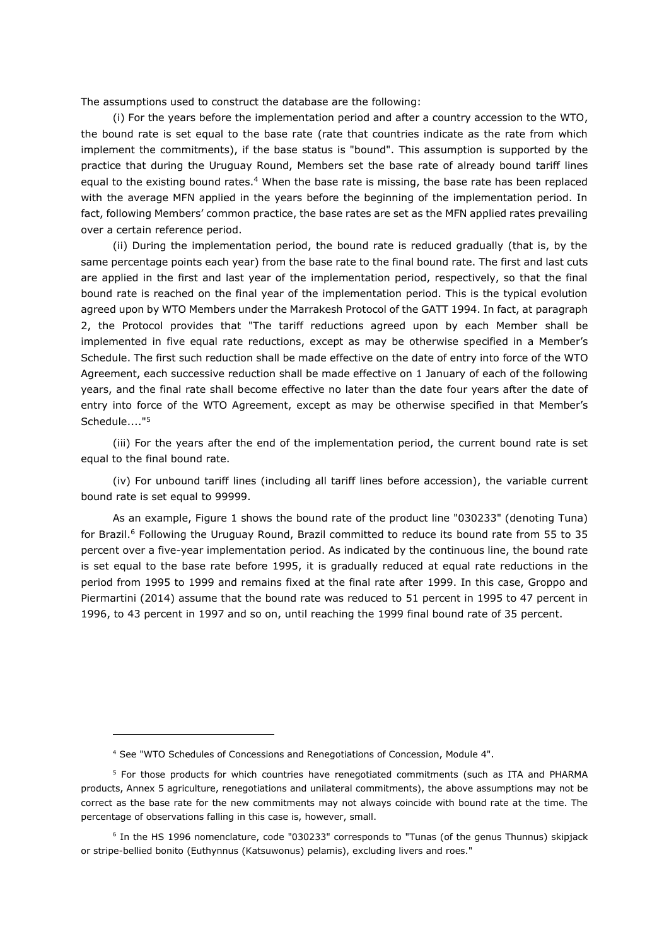The assumptions used to construct the database are the following:

(i) For the years before the implementation period and after a country accession to the WTO, the bound rate is set equal to the base rate (rate that countries indicate as the rate from which implement the commitments), if the base status is "bound". This assumption is supported by the practice that during the Uruguay Round, Members set the base rate of already bound tariff lines equal to the existing bound rates.<sup>4</sup> When the base rate is missing, the base rate has been replaced with the average MFN applied in the years before the beginning of the implementation period. In fact, following Members' common practice, the base rates are set as the MFN applied rates prevailing over a certain reference period.

(ii) During the implementation period, the bound rate is reduced gradually (that is, by the same percentage points each year) from the base rate to the final bound rate. The first and last cuts are applied in the first and last year of the implementation period, respectively, so that the final bound rate is reached on the final year of the implementation period. This is the typical evolution agreed upon by WTO Members under the Marrakesh Protocol of the GATT 1994. In fact, at paragraph 2, the Protocol provides that "The tariff reductions agreed upon by each Member shall be implemented in five equal rate reductions, except as may be otherwise specified in a Member's Schedule. The first such reduction shall be made effective on the date of entry into force of the WTO Agreement, each successive reduction shall be made effective on 1 January of each of the following years, and the final rate shall become effective no later than the date four years after the date of entry into force of the WTO Agreement, except as may be otherwise specified in that Member's Schedule...."<sup>5</sup>

(iii) For the years after the end of the implementation period, the current bound rate is set equal to the final bound rate.

(iv) For unbound tariff lines (including all tariff lines before accession), the variable current bound rate is set equal to 99999.

As an example, Figure 1 shows the bound rate of the product line "030233" (denoting Tuna) for Brazil.<sup>6</sup> Following the Uruguay Round, Brazil committed to reduce its bound rate from 55 to 35 percent over a five-year implementation period. As indicated by the continuous line, the bound rate is set equal to the base rate before 1995, it is gradually reduced at equal rate reductions in the period from 1995 to 1999 and remains fixed at the final rate after 1999. In this case, Groppo and Piermartini (2014) assume that the bound rate was reduced to 51 percent in 1995 to 47 percent in 1996, to 43 percent in 1997 and so on, until reaching the 1999 final bound rate of 35 percent.

<sup>4</sup> See "WTO Schedules of Concessions and Renegotiations of Concession, Module 4".

<sup>&</sup>lt;sup>5</sup> For those products for which countries have renegotiated commitments (such as ITA and PHARMA products, Annex 5 agriculture, renegotiations and unilateral commitments), the above assumptions may not be correct as the base rate for the new commitments may not always coincide with bound rate at the time. The percentage of observations falling in this case is, however, small.

<sup>6</sup> In the HS 1996 nomenclature, code "030233" corresponds to "Tunas (of the genus Thunnus) skipjack or stripe-bellied bonito (Euthynnus (Katsuwonus) pelamis), excluding livers and roes."